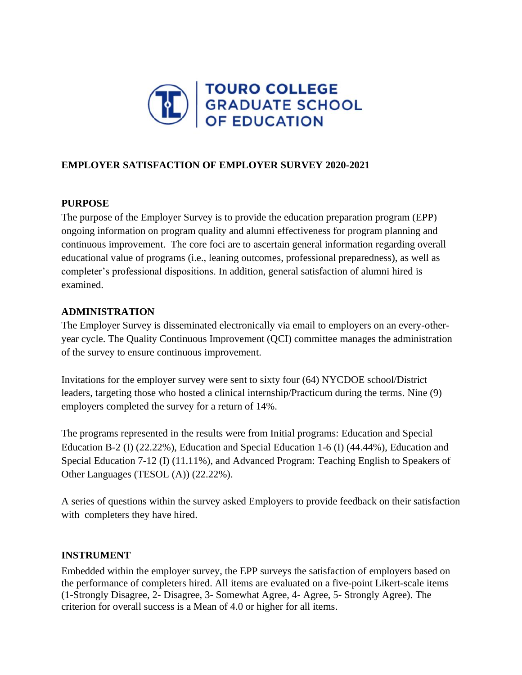

### **EMPLOYER SATISFACTION OF EMPLOYER SURVEY 2020-2021**

### **PURPOSE**

The purpose of the Employer Survey is to provide the education preparation program (EPP) ongoing information on program quality and alumni effectiveness for program planning and continuous improvement. The core foci are to ascertain general information regarding overall educational value of programs (i.e., leaning outcomes, professional preparedness), as well as completer's professional dispositions. In addition, general satisfaction of alumni hired is examined.

#### **ADMINISTRATION**

The Employer Survey is disseminated electronically via email to employers on an every-otheryear cycle. The Quality Continuous Improvement (QCI) committee manages the administration of the survey to ensure continuous improvement.

Invitations for the employer survey were sent to sixty four (64) NYCDOE school/District leaders, targeting those who hosted a clinical internship/Practicum during the terms. Nine (9) employers completed the survey for a return of 14%.

The programs represented in the results were from Initial programs: Education and Special Education B-2 (I) (22.22%), Education and Special Education 1-6 (I) (44.44%), Education and Special Education 7-12 (I) (11.11%), and Advanced Program: Teaching English to Speakers of Other Languages (TESOL (A)) (22.22%).

A series of questions within the survey asked Employers to provide feedback on their satisfaction with completers they have hired.

### **INSTRUMENT**

Embedded within the employer survey, the EPP surveys the satisfaction of employers based on the performance of completers hired. All items are evaluated on a five-point Likert-scale items (1-Strongly Disagree, 2- Disagree, 3- Somewhat Agree, 4- Agree, 5- Strongly Agree). The criterion for overall success is a Mean of 4.0 or higher for all items.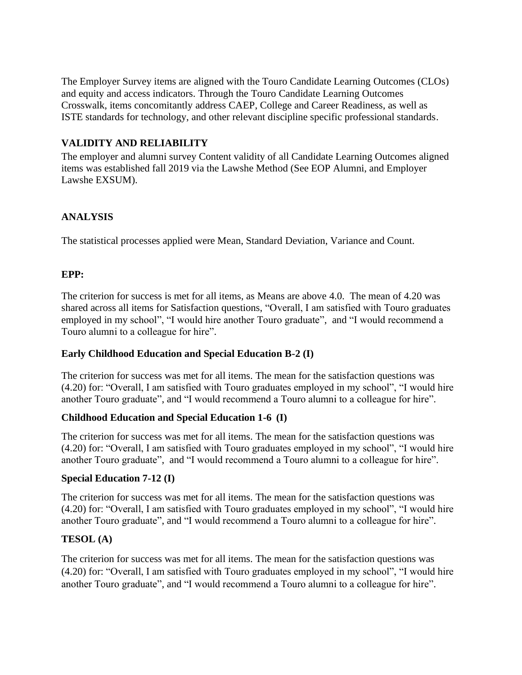The Employer Survey items are aligned with the Touro Candidate Learning Outcomes (CLOs) and equity and access indicators. Through the Touro Candidate Learning Outcomes Crosswalk, items concomitantly address CAEP, College and Career Readiness, as well as ISTE standards for technology, and other relevant discipline specific professional standards.

# **VALIDITY AND RELIABILITY**

The employer and alumni survey Content validity of all Candidate Learning Outcomes aligned items was established fall 2019 via the Lawshe Method (See EOP Alumni, and Employer Lawshe EXSUM).

## **ANALYSIS**

The statistical processes applied were Mean, Standard Deviation, Variance and Count.

### **EPP:**

The criterion for success is met for all items, as Means are above 4.0. The mean of 4.20 was shared across all items for Satisfaction questions, "Overall, I am satisfied with Touro graduates employed in my school", "I would hire another Touro graduate", and "I would recommend a Touro alumni to a colleague for hire".

### **Early Childhood Education and Special Education B-2 (I)**

The criterion for success was met for all items. The mean for the satisfaction questions was (4.20) for: "Overall, I am satisfied with Touro graduates employed in my school", "I would hire another Touro graduate", and "I would recommend a Touro alumni to a colleague for hire".

### **Childhood Education and Special Education 1-6 (I)**

The criterion for success was met for all items. The mean for the satisfaction questions was (4.20) for: "Overall, I am satisfied with Touro graduates employed in my school", "I would hire another Touro graduate", and "I would recommend a Touro alumni to a colleague for hire".

### **Special Education 7-12 (I)**

The criterion for success was met for all items. The mean for the satisfaction questions was (4.20) for: "Overall, I am satisfied with Touro graduates employed in my school", "I would hire another Touro graduate", and "I would recommend a Touro alumni to a colleague for hire".

### **TESOL (A)**

The criterion for success was met for all items. The mean for the satisfaction questions was (4.20) for: "Overall, I am satisfied with Touro graduates employed in my school", "I would hire another Touro graduate", and "I would recommend a Touro alumni to a colleague for hire".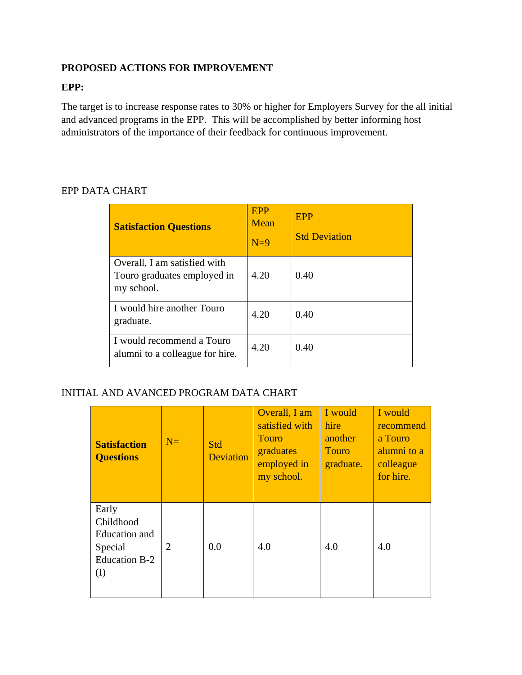## **PROPOSED ACTIONS FOR IMPROVEMENT**

#### **EPP:**

The target is to increase response rates to 30% or higher for Employers Survey for the all initial and advanced programs in the EPP. This will be accomplished by better informing host administrators of the importance of their feedback for continuous improvement.

| <b>Satisfaction Questions</b>                                             | EPP<br>Mean<br>$N=9$ | <b>EPP</b><br><b>Std Deviation</b> |
|---------------------------------------------------------------------------|----------------------|------------------------------------|
| Overall, I am satisfied with<br>Touro graduates employed in<br>my school. | 4.20                 | 0.40                               |
| I would hire another Touro<br>graduate.                                   | 4.20                 | 0.40                               |
| I would recommend a Touro<br>alumni to a colleague for hire.              | 4.20                 | 0.40                               |

## EPP DATA CHART

### INITIAL AND AVANCED PROGRAM DATA CHART

| <b>Satisfaction</b><br><b>Questions</b>                                | $N=$           | Std<br><b>Deviation</b> | Overall, I am<br>satisfied with<br><b>Touro</b><br>graduates<br>employed in<br>my school. | I would<br>hire<br>another<br><b>Touro</b><br>graduate. | I would<br>recommend<br>a Touro<br>alumni to a<br>colleague<br>for hire. |
|------------------------------------------------------------------------|----------------|-------------------------|-------------------------------------------------------------------------------------------|---------------------------------------------------------|--------------------------------------------------------------------------|
| Early<br>Childhood<br>Education and<br>Special<br>Education B-2<br>(I) | $\overline{2}$ | 0.0                     | 4.0                                                                                       | 4.0                                                     | 4.0                                                                      |